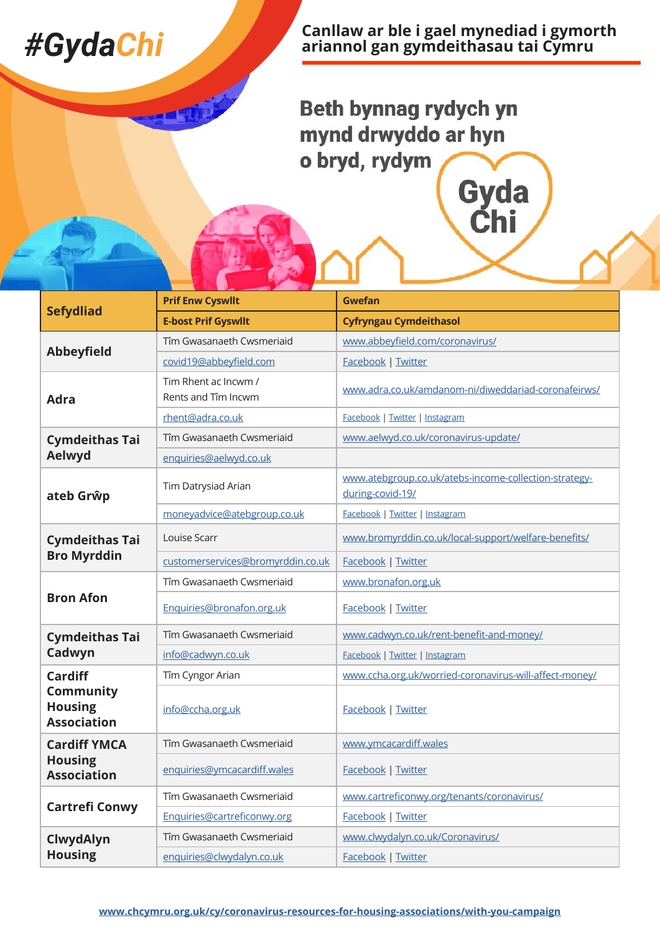## *#GydaChi*

**Canllaw ar ble i gael mynediad i gymorth ariannol gan gymdeithasau tai Cymru**

Gyda<br>Chi

Beth bynnag rydych yn mynd drwyddo ar hyn o bryd, rydym

| <b>Sefydliad</b>                                  | <b>Prif Enw Cyswllt</b>                     | <b>Gwefan</b>                                                             |
|---------------------------------------------------|---------------------------------------------|---------------------------------------------------------------------------|
|                                                   | <b>E-bost Prif Gyswllt</b>                  | <b>Cyfryngau Cymdeithasol</b>                                             |
| <b>Abbeyfield</b>                                 | Tîm Gwasanaeth Cwsmeriaid                   | www.abbeyfield.com/coronavirus/                                           |
|                                                   | covid19@abbeyfield.com                      | Facebook   Twitter                                                        |
| <b>Adra</b>                                       | Tim Rhent ac Incwm /<br>Rents and Tîm Incwm | www.adra.co.uk/amdanom-ni/diweddariad-coronafeirws/                       |
|                                                   | rhent@adra.co.uk                            | Facebook   Twitter   Instagram                                            |
| <b>Cymdeithas Tai</b><br>Aelwyd                   | Tîm Gwasanaeth Cwsmeriaid                   | www.aelwyd.co.uk/coronavirus-update/                                      |
|                                                   | enquiries@aelwyd.co.uk                      |                                                                           |
| ateb Grŵp                                         | Tim Datrysiad Arian                         | www.atebgroup.co.uk/atebs-income-collection-strategy-<br>during-covid-19/ |
|                                                   | moneyadvice@atebgroup.co.uk                 | Facebook   Twitter   Instagram                                            |
| <b>Cymdeithas Tai</b>                             | Louise Scarr                                | www.bromyrddin.co.uk/local-support/welfare-benefits/                      |
| <b>Bro Myrddin</b>                                | customerservices@bromyrddin.co.uk           | Facebook   Twitter                                                        |
| <b>Bron Afon</b>                                  | Tîm Gwasanaeth Cwsmeriaid                   | www.bronafon.org.uk                                                       |
|                                                   | Enquiries@bronafon.org.uk                   | Facebook   Twitter                                                        |
| <b>Cymdeithas Tai</b>                             | Tîm Gwasanaeth Cwsmeriaid                   | www.cadwyn.co.uk/rent-benefit-and-money/                                  |
| Cadwyn                                            | info@cadwyn.co.uk                           | Facebook   Twitter   Instagram                                            |
| <b>Cardiff</b>                                    | Tîm Cyngor Arian                            | www.ccha.org.uk/worried-coronavirus-will-affect-money/                    |
| Community<br><b>Housing</b><br><b>Association</b> | info@ccha.org.uk                            | Facebook   Twitter                                                        |
| <b>Cardiff YMCA</b>                               | Tîm Gwasanaeth Cwsmeriaid                   | www.ymcacardiff.wales                                                     |
| <b>Housing</b><br><b>Association</b>              | enquiries@ymcacardiff.wales                 | Facebook   Twitter                                                        |
| <b>Cartrefi Conwy</b>                             | Tîm Gwasanaeth Cwsmeriaid                   | www.cartreficonwy.org/tenants/coronavirus/                                |
|                                                   | Enquiries@cartreficonwy.org                 | Facebook   Twitter                                                        |
| ClwydAlyn<br><b>Housing</b>                       | Tîm Gwasanaeth Cwsmeriaid                   | www.clwydalyn.co.uk/Coronavirus/                                          |
|                                                   | enquiries@clwydalyn.co.uk                   | Facebook   Twitter                                                        |

### **[www.chcymru.org.uk/cy/coronavirus-resources-for-housing-associations/with-you-campaign](http://www.chcymru.org.uk/cy/coronavirus-resources-for-housing-associations/with-you-campaign)**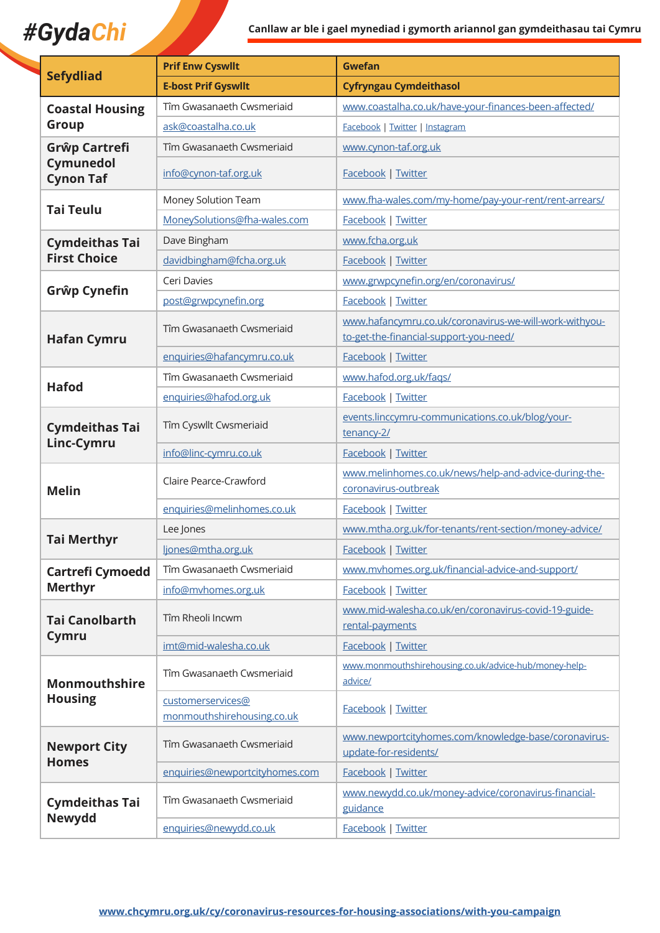# *#GydaChi* **Canllaw ar ble i gael mynediad i gymorth ariannol gan gymdeithasau tai Cymru**

| <b>Sefydliad</b>                               | <b>Prif Enw Cyswllt</b>                         | <b>Gwefan</b>                                                                                    |
|------------------------------------------------|-------------------------------------------------|--------------------------------------------------------------------------------------------------|
|                                                | <b>E-bost Prif Gyswllt</b>                      | <b>Cyfryngau Cymdeithasol</b>                                                                    |
| <b>Coastal Housing</b><br>Group                | Tîm Gwasanaeth Cwsmeriaid                       | www.coastalha.co.uk/have-your-finances-been-affected/                                            |
|                                                | ask@coastalha.co.uk                             | Facebook   Twitter   Instagram                                                                   |
| Grŵp Cartrefi<br>Cymunedol<br><b>Cynon Taf</b> | Tîm Gwasanaeth Cwsmeriaid                       | www.cynon-taf.org.uk                                                                             |
|                                                | info@cynon-taf.org.uk                           | Facebook   Twitter                                                                               |
| <b>Tai Teulu</b>                               | Money Solution Team                             | www.fha-wales.com/my-home/pay-your-rent/rent-arrears/                                            |
|                                                | MoneySolutions@fha-wales.com                    | Facebook   Twitter                                                                               |
| <b>Cymdeithas Tai</b><br><b>First Choice</b>   | Dave Bingham                                    | www.fcha.org.uk                                                                                  |
|                                                | davidbingham@fcha.org.uk                        | Facebook   Twitter                                                                               |
|                                                | Ceri Davies                                     | www.grwpcynefin.org/en/coronavirus/                                                              |
| Grŵp Cynefin                                   | post@grwpcynefin.org                            | Facebook   Twitter                                                                               |
| <b>Hafan Cymru</b>                             | Tîm Gwasanaeth Cwsmeriaid                       | www.hafancymru.co.uk/coronavirus-we-will-work-withyou-<br>to-get-the-financial-support-you-need/ |
|                                                | enquiries@hafancymru.co.uk                      | Facebook   Twitter                                                                               |
|                                                | Tîm Gwasanaeth Cwsmeriaid                       | www.hafod.org.uk/faqs/                                                                           |
| <b>Hafod</b>                                   | enquiries@hafod.org.uk                          | Facebook   Twitter                                                                               |
| <b>Cymdeithas Tai</b><br>Linc-Cymru            | Tîm Cyswllt Cwsmeriaid                          | events.linccymru-communications.co.uk/blog/your-<br>tenancy-2/                                   |
|                                                | info@linc-cymru.co.uk                           | Facebook   Twitter                                                                               |
| <b>Melin</b>                                   | Claire Pearce-Crawford                          | www.melinhomes.co.uk/news/help-and-advice-during-the-<br>coronavirus-outbreak                    |
|                                                | enquiries@melinhomes.co.uk                      | Facebook   Twitter                                                                               |
|                                                | Lee Jones                                       | www.mtha.org.uk/for-tenants/rent-section/money-advice/                                           |
| <b>Tai Merthyr</b>                             | ljones@mtha.org.uk                              | Facebook   Twitter                                                                               |
| <b>Cartrefi Cymoedd</b><br><b>Merthyr</b>      | Tîm Gwasanaeth Cwsmeriaid                       | www.mvhomes.org.uk/financial-advice-and-support/                                                 |
|                                                | info@mvhomes.org.uk                             | Facebook   Twitter                                                                               |
| <b>Tai Canolbarth</b><br>Cymru                 | Tîm Rheoli Incwm                                | www.mid-walesha.co.uk/en/coronavirus-covid-19-guide-<br>rental-payments                          |
|                                                | imt@mid-walesha.co.uk                           | <b>Facebook   Twitter</b>                                                                        |
| <b>Monmouthshire</b><br><b>Housing</b>         | Tîm Gwasanaeth Cwsmeriaid                       | www.monmouthshirehousing.co.uk/advice-hub/money-help-<br>advice/                                 |
|                                                | customerservices@<br>monmouthshirehousing.co.uk | Facebook   Twitter                                                                               |
| <b>Newport City</b><br><b>Homes</b>            | Tîm Gwasanaeth Cwsmeriaid                       | www.newportcityhomes.com/knowledge-base/coronavirus-<br>update-for-residents/                    |
|                                                | enquiries@newportcityhomes.com                  | Facebook   Twitter                                                                               |
| <b>Cymdeithas Tai</b><br><b>Newydd</b>         | Tîm Gwasanaeth Cwsmeriaid                       | www.newydd.co.uk/money-advice/coronavirus-financial-<br>guidance                                 |
|                                                | enquiries@newydd.co.uk                          | Facebook   Twitter                                                                               |